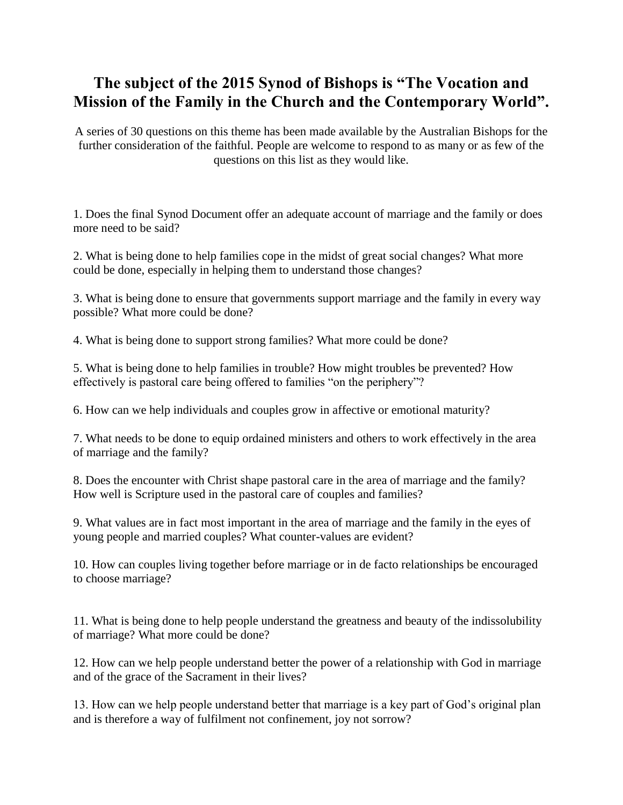## **The subject of the 2015 Synod of Bishops is "The Vocation and Mission of the Family in the Church and the Contemporary World".**

A series of 30 questions on this theme has been made available by the Australian Bishops for the further consideration of the faithful. People are welcome to respond to as many or as few of the questions on this list as they would like.

1. Does the final Synod Document offer an adequate account of marriage and the family or does more need to be said?

2. What is being done to help families cope in the midst of great social changes? What more could be done, especially in helping them to understand those changes?

3. What is being done to ensure that governments support marriage and the family in every way possible? What more could be done?

4. What is being done to support strong families? What more could be done?

5. What is being done to help families in trouble? How might troubles be prevented? How effectively is pastoral care being offered to families "on the periphery"?

6. How can we help individuals and couples grow in affective or emotional maturity?

7. What needs to be done to equip ordained ministers and others to work effectively in the area of marriage and the family?

8. Does the encounter with Christ shape pastoral care in the area of marriage and the family? How well is Scripture used in the pastoral care of couples and families?

9. What values are in fact most important in the area of marriage and the family in the eyes of young people and married couples? What counter-values are evident?

10. How can couples living together before marriage or in de facto relationships be encouraged to choose marriage?

11. What is being done to help people understand the greatness and beauty of the indissolubility of marriage? What more could be done?

12. How can we help people understand better the power of a relationship with God in marriage and of the grace of the Sacrament in their lives?

13. How can we help people understand better that marriage is a key part of God's original plan and is therefore a way of fulfilment not confinement, joy not sorrow?